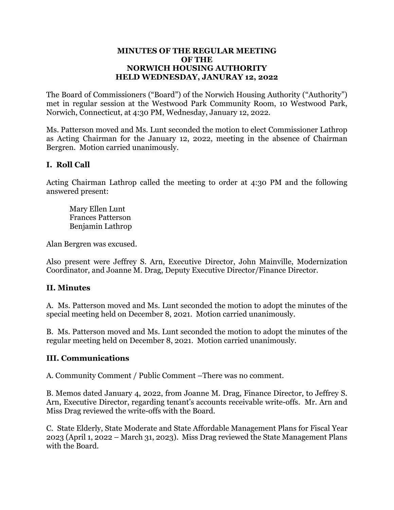#### **MINUTES OF THE REGULAR MEETING OF THE NORWICH HOUSING AUTHORITY HELD WEDNESDAY, JANURAY 12, 2022**

The Board of Commissioners ("Board") of the Norwich Housing Authority ("Authority") met in regular session at the Westwood Park Community Room, 10 Westwood Park, Norwich, Connecticut, at 4:30 PM, Wednesday, January 12, 2022.

Ms. Patterson moved and Ms. Lunt seconded the motion to elect Commissioner Lathrop as Acting Chairman for the January 12, 2022, meeting in the absence of Chairman Bergren. Motion carried unanimously.

# **I. Roll Call**

Acting Chairman Lathrop called the meeting to order at 4:30 PM and the following answered present:

 Mary Ellen Lunt Frances Patterson Benjamin Lathrop

Alan Bergren was excused.

Also present were Jeffrey S. Arn, Executive Director, John Mainville, Modernization Coordinator, and Joanne M. Drag, Deputy Executive Director/Finance Director.

## **II. Minutes**

A. Ms. Patterson moved and Ms. Lunt seconded the motion to adopt the minutes of the special meeting held on December 8, 2021. Motion carried unanimously.

B. Ms. Patterson moved and Ms. Lunt seconded the motion to adopt the minutes of the regular meeting held on December 8, 2021. Motion carried unanimously.

## **III. Communications**

A. Community Comment / Public Comment –There was no comment.

B. Memos dated January 4, 2022, from Joanne M. Drag, Finance Director, to Jeffrey S. Arn, Executive Director, regarding tenant's accounts receivable write-offs. Mr. Arn and Miss Drag reviewed the write-offs with the Board.

C. State Elderly, State Moderate and State Affordable Management Plans for Fiscal Year 2023 (April 1, 2022 – March 31, 2023). Miss Drag reviewed the State Management Plans with the Board.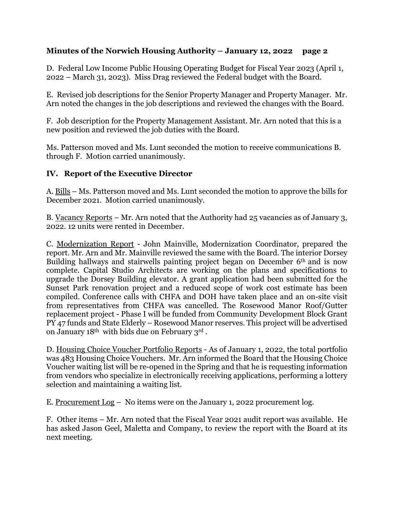D. Federal Low Income Public Housing Operating Budget for Fiscal Year 2023 (April 1, 2022 – March 31, 2023). Miss Drag reviewed the Federal budget with the Board.

E. Revised job descriptions for the Senior Property Manager and Property Manager. Mr. Arn noted the changes in the job descriptions and reviewed the changes with the Board.

F. Job description for the Property Management Assistant. Mr. Arn noted that this is a new position and reviewed the job duties with the Board.

Ms. Patterson moved and Ms. Lunt seconded the motion to receive communications B. through F. Motion carried unanimously.

## **IV. Report of the Executive Director**

A. Bills – Ms. Patterson moved and Ms. Lunt seconded the motion to approve the bills for December 2021. Motion carried unanimously.

B. Vacancy Reports – Mr. Arn noted that the Authority had 25 vacancies as of January 3, 2022. 12 units were rented in December.

C. Modernization Report - John Mainville, Modernization Coordinator, prepared the report. Mr. Arn and Mr. Mainville reviewed the same with the Board. The interior Dorsey Building hallways and stairwells painting project began on December 6<sup>th</sup> and is now complete. Capital Studio Architects are working on the plans and specifications to upgrade the Dorsey Building elevator. A grant application had been submitted for the Sunset Park renovation project and a reduced scope of work cost estimate has been compiled. Conference calls with CHFA and DOH have taken place and an on-site visit from representatives from CHFA was cancelled. The Rosewood Manor Roof/Gutter replacement project - Phase I will be funded from Community Development Block Grant PY 47 funds and State Elderly – Rosewood Manor reserves. This project will be advertised on January 18th with bids due on February 3rd .

D. Housing Choice Voucher Portfolio Reports - As of January 1, 2022, the total portfolio was 483 Housing Choice Vouchers. Mr. Arn informed the Board that the Housing Choice Voucher waiting list will be re-opened in the Spring and that he is requesting information from vendors who specialize in electronically receiving applications, performing a lottery selection and maintaining a waiting list.

E. Procurement Log – No items were on the January 1, 2022 procurement log.

F. Other items – Mr. Arn noted that the Fiscal Year 2021 audit report was available. He has asked Jason Geel, Maletta and Company, to review the report with the Board at its next meeting.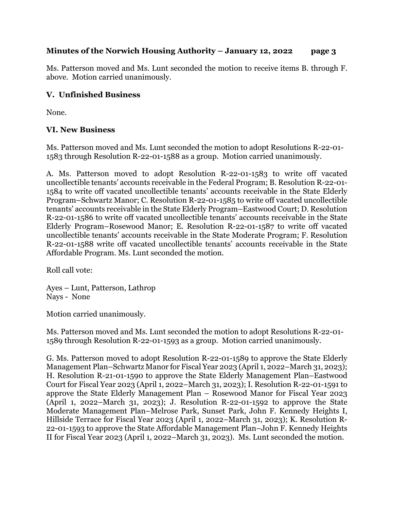Ms. Patterson moved and Ms. Lunt seconded the motion to receive items B. through F. above. Motion carried unanimously.

### **V. Unfinished Business**

None.

### **VI. New Business**

Ms. Patterson moved and Ms. Lunt seconded the motion to adopt Resolutions R-22-01- 1583 through Resolution R-22-01-1588 as a group. Motion carried unanimously.

A. Ms. Patterson moved to adopt Resolution R-22-01-1583 to write off vacated uncollectible tenants' accounts receivable in the Federal Program; B. Resolution R-22-01- 1584 to write off vacated uncollectible tenants' accounts receivable in the State Elderly Program–Schwartz Manor; C. Resolution R-22-01-1585 to write off vacated uncollectible tenants' accounts receivable in the State Elderly Program–Eastwood Court; D. Resolution R-22-01-1586 to write off vacated uncollectible tenants' accounts receivable in the State Elderly Program–Rosewood Manor; E. Resolution R-22-01-1587 to write off vacated uncollectible tenants' accounts receivable in the State Moderate Program; F. Resolution R-22-01-1588 write off vacated uncollectible tenants' accounts receivable in the State Affordable Program. Ms. Lunt seconded the motion.

Roll call vote:

Ayes – Lunt, Patterson, Lathrop Nays - None

Motion carried unanimously.

Ms. Patterson moved and Ms. Lunt seconded the motion to adopt Resolutions R-22-01- 1589 through Resolution R-22-01-1593 as a group. Motion carried unanimously.

G. Ms. Patterson moved to adopt Resolution R-22-01-1589 to approve the State Elderly Management Plan–Schwartz Manor for Fiscal Year 2023 (April 1, 2022–March 31, 2023); H. Resolution R-21-01-1590 to approve the State Elderly Management Plan–Eastwood Court for Fiscal Year 2023 (April 1, 2022–March 31, 2023); I. Resolution R-22-01-1591 to approve the State Elderly Management Plan – Rosewood Manor for Fiscal Year 2023 (April 1, 2022–March 31, 2023); J. Resolution R-22-01-1592 to approve the State Moderate Management Plan–Melrose Park, Sunset Park, John F. Kennedy Heights I, Hillside Terrace for Fiscal Year 2023 (April 1, 2022–March 31, 2023); K. Resolution R-22-01-1593 to approve the State Affordable Management Plan–John F. Kennedy Heights II for Fiscal Year 2023 (April 1, 2022–March 31, 2023). Ms. Lunt seconded the motion.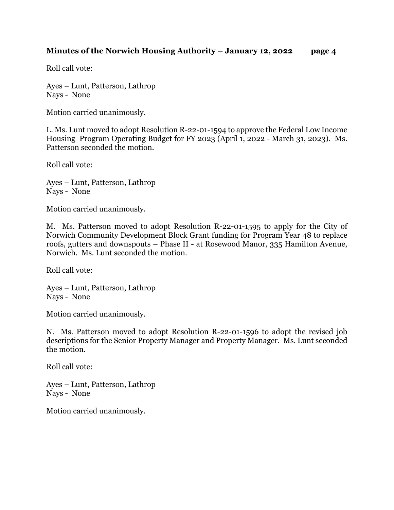Roll call vote:

Ayes – Lunt, Patterson, Lathrop Nays - None

Motion carried unanimously.

L. Ms. Lunt moved to adopt Resolution R-22-01-1594 to approve the Federal Low Income Housing Program Operating Budget for FY 2023 (April 1, 2022 - March 31, 2023). Ms. Patterson seconded the motion.

Roll call vote:

Ayes – Lunt, Patterson, Lathrop Nays - None

Motion carried unanimously.

M. Ms. Patterson moved to adopt Resolution R-22-01-1595 to apply for the City of Norwich Community Development Block Grant funding for Program Year 48 to replace roofs, gutters and downspouts – Phase II - at Rosewood Manor, 335 Hamilton Avenue, Norwich. Ms. Lunt seconded the motion.

Roll call vote:

Ayes – Lunt, Patterson, Lathrop Nays - None

Motion carried unanimously.

N. Ms. Patterson moved to adopt Resolution R-22-01-1596 to adopt the revised job descriptions for the Senior Property Manager and Property Manager. Ms. Lunt seconded the motion.

Roll call vote:

Ayes – Lunt, Patterson, Lathrop Nays - None

Motion carried unanimously.